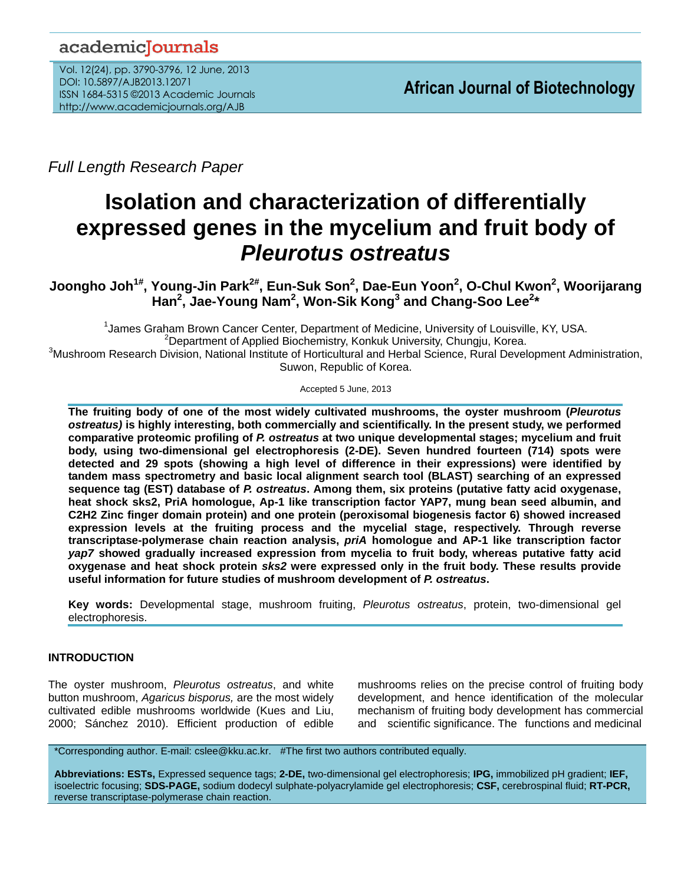# academicJournals

Vol. 12(24), pp. 3790-3796, 12 June, 2013 DOI: 10.5897/AJB2013.12071 ISSN 1684-5315 ©2013 Academic Journals http://www.academicjournals.org/AJB

*Full Length Research Paper*

# **Isolation and characterization of differentially expressed genes in the mycelium and fruit body of**  *Pleurotus ostreatus*

**Joongho Joh1# , Young-Jin Park2# , Eun-Suk Son<sup>2</sup> , Dae-Eun Yoon<sup>2</sup> , O-Chul Kwon<sup>2</sup> , Woorijarang Han<sup>2</sup> , Jae-Young Nam<sup>2</sup> , Won-Sik Kong<sup>3</sup> and Chang-Soo Lee<sup>2</sup> \***

<sup>1</sup> James Graham Brown Cancer Center, Department of Medicine, University of Louisville, KY, USA. <sup>2</sup>Department of Applied Biochemistry, Konkuk University, Chungju, Korea. <sup>3</sup>Mushroom Research Division, National Institute of Horticultural and Herbal Science, Rural Development Administration, Suwon, Republic of Korea.

Accepted 5 June, 2013

**The fruiting body of one of the most widely cultivated mushrooms, the oyster mushroom (***Pleurotus ostreatus)* **is highly interesting, both commercially and scientifically. In the present study, we performed comparative proteomic profiling of** *P. ostreatus* **at two unique developmental stages; mycelium and fruit body, using two-dimensional gel electrophoresis (2-DE). Seven hundred fourteen (714) spots were detected and 29 spots (showing a high level of difference in their expressions) were identified by tandem mass spectrometry and basic local alignment search tool (BLAST) searching of an expressed sequence tag (EST) database of** *P. ostreatus***. Among them, six proteins (putative fatty acid oxygenase, heat shock sks2, PriA homologue, Ap-1 like transcription factor YAP7, mung bean seed albumin, and C2H2 Zinc finger domain protein) and one protein (peroxisomal biogenesis factor 6) showed increased expression levels at the fruiting process and the mycelial stage, respectively. Through reverse transcriptase-polymerase chain reaction analysis,** *priA* **homologue and AP-1 like transcription factor**  *yap7* **showed gradually increased expression from mycelia to fruit body, whereas putative fatty acid oxygenase and heat shock protein** *sks2* **were expressed only in the fruit body. These results provide useful information for future studies of mushroom development of** *P. ostreatus***.**

**Key words:** Developmental stage, mushroom fruiting, *Pleurotus ostreatus*, protein, two-dimensional gel electrophoresis.

# **INTRODUCTION**

The oyster mushroom, *Pleurotus ostreatus*, and white button mushroom, *Agaricus bisporus,* are the most widely cultivated edible mushrooms worldwide (Kues and Liu, 2000; Sánchez 2010). Efficient production of edible

mushrooms relies on the precise control of fruiting body development, and hence identification of the molecular mechanism of fruiting body development has commercial and scientific significance. The functions and medicinal

\*Corresponding author. E-mail: cslee@kku.ac.kr. #The first two authors contributed equally.

**Abbreviations: ESTs,** Expressed sequence tags; **2-DE,** two-dimensional gel electrophoresis; **IPG,** immobilized pH gradient; **IEF,** isoelectric focusing; **SDS-PAGE,** sodium dodecyl sulphate-polyacrylamide gel electrophoresis; **CSF,** cerebrospinal fluid; **RT-PCR,**  reverse transcriptase-polymerase chain reaction.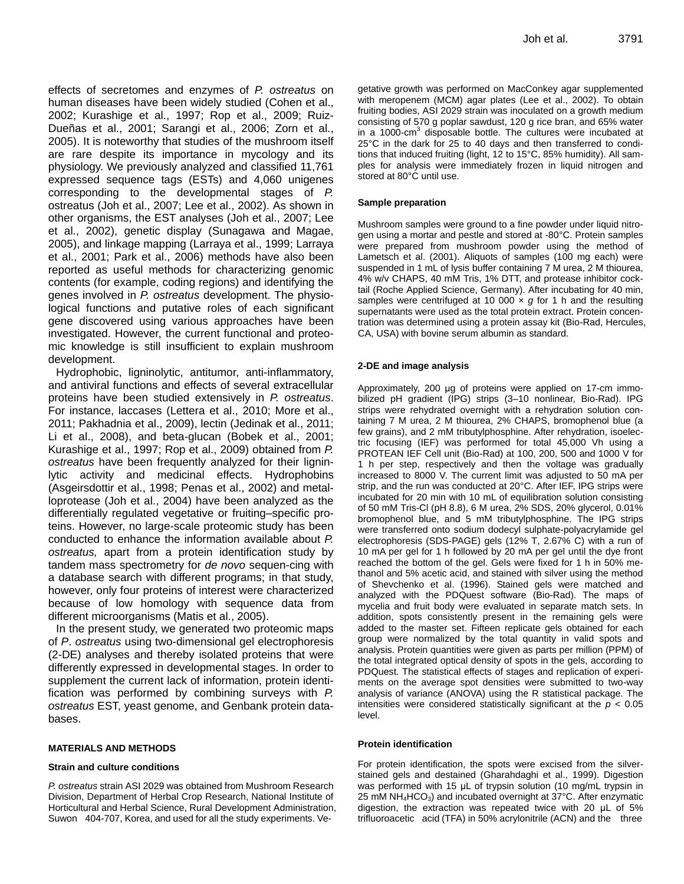effects of secretomes and enzymes of *P. ostreatus* on human diseases have been widely studied (Cohen et al., 2002; Kurashige et al., 1997; Rop et al., 2009; Ruiz-Dueñas et al., 2001; Sarangi et al., 2006; Zorn et al., 2005). It is noteworthy that studies of the mushroom itself are rare despite its importance in mycology and its physiology. We previously analyzed and classified 11,761 expressed sequence tags (ESTs) and 4,060 unigenes corresponding to the developmental stages of *P.*  ostreatus (Joh et al., 2007; Lee et al., 2002). As shown in other organisms, the EST analyses (Joh et al., 2007; Lee et al., 2002), genetic display (Sunagawa and Magae, 2005), and linkage mapping (Larraya et al., 1999; Larraya et al., 2001; Park et al., 2006) methods have also been reported as useful methods for characterizing genomic contents (for example, coding regions) and identifying the genes involved in *P. ostreatus* development. The physiological functions and putative roles of each significant gene discovered using various approaches have been investigated. However, the current functional and proteomic knowledge is still insufficient to explain mushroom development.

Hydrophobic, ligninolytic, antitumor, anti-inflammatory, and antiviral functions and effects of several extracellular proteins have been studied extensively in *P. ostreatus*. For instance, laccases (Lettera et al., 2010; More et al., 2011; Pakhadnia et al., 2009), lectin (Jedinak et al., 2011; Li et al., 2008), and beta-glucan (Bobek et al., 2001; Kurashige et al., 1997; Rop et al., 2009) obtained from *P. ostreatus* have been frequently analyzed for their ligninlytic activity and medicinal effects. Hydrophobins (Asgeirsdottir et al., 1998; Penas et al., 2002) and metalloprotease (Joh et al., 2004) have been analyzed as the differentially regulated vegetative or fruiting–specific proteins. However, no large-scale proteomic study has been conducted to enhance the information available about *P. ostreatus,* apart from a protein identification study by tandem mass spectrometry for *de novo* sequen-cing with a database search with different programs; in that study, however, only four proteins of interest were characterized because of low homology with sequence data from different microorganisms (Matis et al., 2005).

In the present study, we generated two proteomic maps of *P*. *ostreatus* using two-dimensional gel electrophoresis (2-DE) analyses and thereby isolated proteins that were differently expressed in developmental stages. In order to supplement the current lack of information, protein identification was performed by combining surveys with *P. ostreatus* EST, yeast genome, and Genbank protein databases.

#### **MATERIALS AND METHODS**

#### **Strain and culture conditions**

*P. ostreatus* strain ASI 2029 was obtained from Mushroom Research Division, Department of Herbal Crop Research, National Institute of Horticultural and Herbal Science, Rural Development Administration, Suwon 404-707, Korea, and used for all the study experiments. Ve-

getative growth was performed on MacConkey agar supplemented with meropenem (MCM) agar plates (Lee et al., 2002). To obtain fruiting bodies, ASI 2029 strain was inoculated on a growth medium consisting of 570 g poplar sawdust, 120 g rice bran, and 65% water in a 1000-cm<sup>3</sup> disposable bottle. The cultures were incubated at 25°C in the dark for 25 to 40 days and then transferred to conditions that induced fruiting (light, 12 to 15°C, 85% humidity). All samples for analysis were immediately frozen in liquid nitrogen and stored at 80°C until use.

#### **Sample preparation**

Mushroom samples were ground to a fine powder under liquid nitrogen using a mortar and pestle and stored at -80°C. Protein samples were prepared from mushroom powder using the method of Lametsch et al. (2001). Aliquots of samples (100 mg each) were suspended in 1 mL of lysis buffer containing 7 M urea, 2 M thiourea, 4% w/v CHAPS, 40 mM Tris, 1% DTT, and protease inhibitor cocktail (Roche Applied Science, Germany). After incubating for 40 min, samples were centrifuged at 10 000 x *g* for 1 h and the resulting supernatants were used as the total protein extract. Protein concentration was determined using a protein assay kit (Bio-Rad, Hercules, CA, USA) with bovine serum albumin as standard.

#### **2-DE and image analysis**

Approximately, 200 μg of proteins were applied on 17-cm immobilized pH gradient (IPG) strips (3–10 nonlinear, Bio-Rad). IPG strips were rehydrated overnight with a rehydration solution containing 7 M urea, 2 M thiourea, 2% CHAPS, bromophenol blue (a few grains), and 2 mM tributylphosphine. After rehydration, isoelectric focusing (IEF) was performed for total 45,000 Vh using a PROTEAN IEF Cell unit (Bio-Rad) at 100, 200, 500 and 1000 V for 1 h per step, respectively and then the voltage was gradually increased to 8000 V. The current limit was adjusted to 50 mA per strip, and the run was conducted at 20°C. After IEF, IPG strips were incubated for 20 min with 10 mL of equilibration solution consisting of 50 mM Tris-Cl (pH 8.8), 6 M urea, 2% SDS, 20% glycerol, 0.01% bromophenol blue, and 5 mM tributylphosphine. The IPG strips were transferred onto sodium dodecyl sulphate-polyacrylamide gel electrophoresis (SDS-PAGE) gels (12% T, 2.67% C) with a run of 10 mA per gel for 1 h followed by 20 mA per gel until the dye front reached the bottom of the gel. Gels were fixed for 1 h in 50% methanol and 5% acetic acid, and stained with silver using the method of Shevchenko et al. (1996). Stained gels were matched and analyzed with the PDQuest software (Bio-Rad). The maps of mycelia and fruit body were evaluated in separate match sets. In addition, spots consistently present in the remaining gels were added to the master set. Fifteen replicate gels obtained for each group were normalized by the total quantity in valid spots and analysis. Protein quantities were given as parts per million (PPM) of the total integrated optical density of spots in the gels, according to PDQuest. The statistical effects of stages and replication of experiments on the average spot densities were submitted to two-way analysis of variance (ANOVA) using the R statistical package. The intensities were considered statistically significant at the *p* < 0.05 level.

#### **Protein identification**

For protein identification, the spots were excised from the silverstained gels and destained (Gharahdaghi et al., 1999). Digestion was performed with 15 μL of trypsin solution (10 mg/mL trypsin in 25 mM NH<sub>4</sub>HCO<sub>3</sub>) and incubated overnight at 37°C. After enzymatic digestion, the extraction was repeated twice with 20 μL of 5% trifluoroacetic acid (TFA) in 50% acrylonitrile (ACN) and the three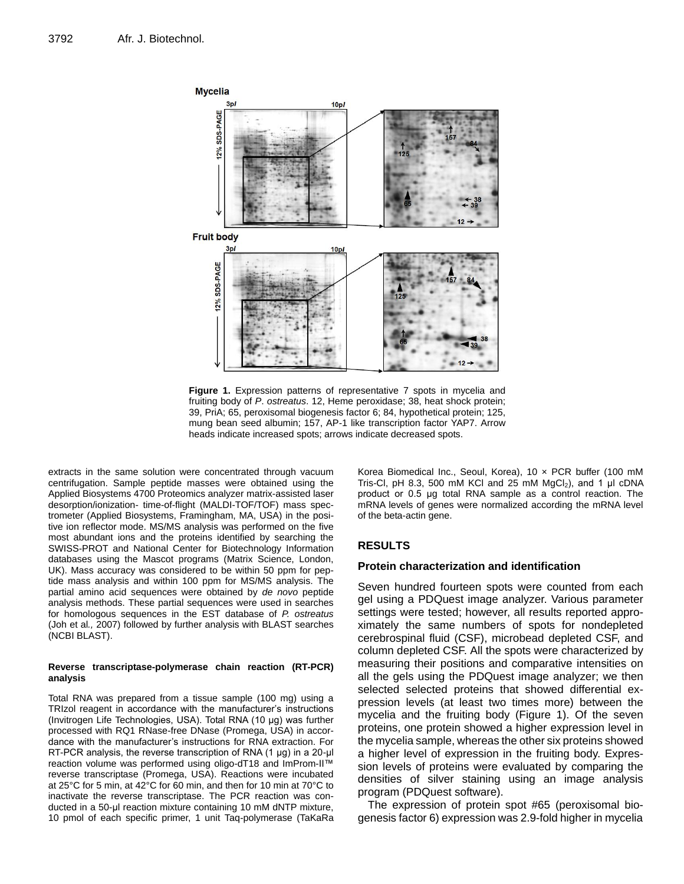

**Figure 1.** Expression patterns of representative 7 spots in mycelia and fruiting body of *P*. *ostreatus*. 12, Heme peroxidase; 38, heat shock protein; 39, PriA; 65, peroxisomal biogenesis factor 6; 84, hypothetical protein; 125, mung bean seed albumin; 157, AP-1 like transcription factor YAP7. Arrow heads indicate increased spots; arrows indicate decreased spots.

extracts in the same solution were concentrated through vacuum centrifugation. Sample peptide masses were obtained using the Applied Biosystems 4700 Proteomics analyzer matrix-assisted laser desorption/ionization- time-of-flight (MALDI-TOF/TOF) mass spectrometer (Applied Biosystems, Framingham, MA, USA) in the positive ion reflector mode. MS/MS analysis was performed on the five most abundant ions and the proteins identified by searching the SWISS-PROT and National Center for Biotechnology Information databases using the Mascot programs (Matrix Science, London, UK). Mass accuracy was considered to be within 50 ppm for peptide mass analysis and within 100 ppm for MS/MS analysis. The partial amino acid sequences were obtained by *de novo* peptide analysis methods. These partial sequences were used in searches for homologous sequences in the EST database of *P. ostreatus* (Joh et al*.,* 2007) followed by further analysis with BLAST searches (NCBI BLAST).

#### **Reverse transcriptase-polymerase chain reaction (RT-PCR) analysis**

Total RNA was prepared from a tissue sample (100 mg) using a TRIzol reagent in accordance with the manufacturer's instructions (Invitrogen Life Technologies, USA). Total RNA (10 μg) was further processed with RQ1 RNase-free DNase (Promega, USA) in accordance with the manufacturer's instructions for RNA extraction. For RT-PCR analysis, the reverse transcription of RNA (1 μg) in a 20-μl reaction volume was performed using oligo-dT18 and ImProm-II™ reverse transcriptase (Promega, USA). Reactions were incubated at 25°C for 5 min, at 42°C for 60 min, and then for 10 min at 70°C to inactivate the reverse transcriptase. The PCR reaction was conducted in a 50-μl reaction mixture containing 10 mM dNTP mixture, 10 pmol of each specific primer, 1 unit Taq-polymerase (TaKaRa

Korea Biomedical Inc., Seoul, Korea), 10 x PCR buffer (100 mM Tris-Cl, pH 8.3, 500 mM KCl and 25 mM  $MgCl<sub>2</sub>$ ), and 1 µl cDNA product or 0.5 μg total RNA sample as a control reaction. The mRNA levels of genes were normalized according the mRNA level of the beta-actin gene.

# **RESULTS**

### **Protein characterization and identification**

Seven hundred fourteen spots were counted from each gel using a PDQuest image analyzer. Various parameter settings were tested; however, all results reported approximately the same numbers of spots for nondepleted cerebrospinal fluid (CSF), microbead depleted CSF, and column depleted CSF. All the spots were characterized by measuring their positions and comparative intensities on all the gels using the PDQuest image analyzer; we then selected selected proteins that showed differential expression levels (at least two times more) between the mycelia and the fruiting body (Figure 1). Of the seven proteins, one protein showed a higher expression level in the mycelia sample, whereas the other six proteins showed a higher level of expression in the fruiting body. Expression levels of proteins were evaluated by comparing the densities of silver staining using an image analysis program (PDQuest software).

The expression of protein spot #65 (peroxisomal biogenesis factor 6) expression was 2.9-fold higher in mycelia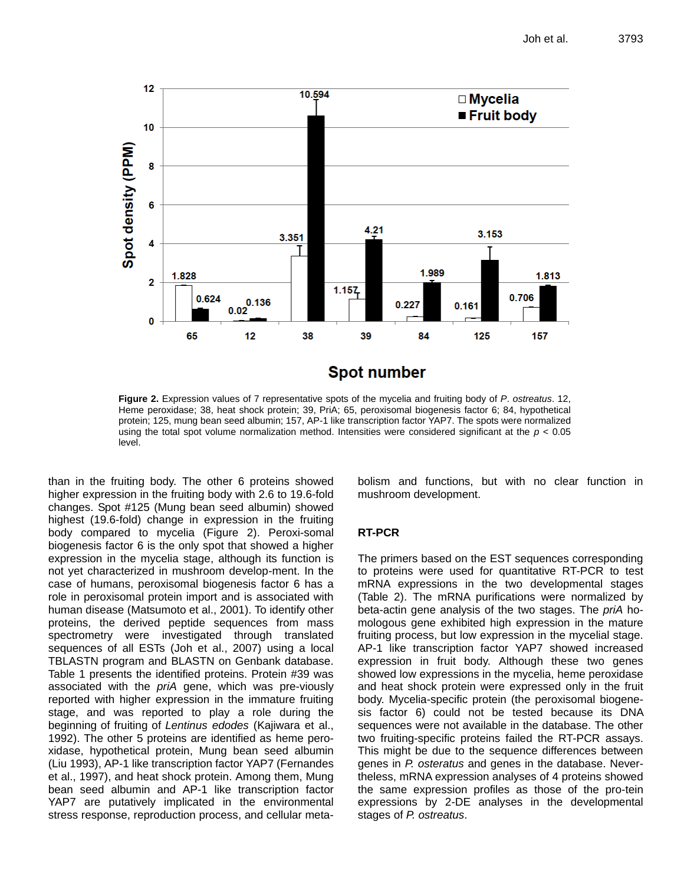

**Figure 2.** Expression values of 7 representative spots of the mycelia and fruiting body of *P*. *ostreatus*. 12, Heme peroxidase; 38, heat shock protein; 39, PriA; 65, peroxisomal biogenesis factor 6; 84, hypothetical protein; 125, mung bean seed albumin; 157, AP-1 like transcription factor YAP7. The spots were normalized using the total spot volume normalization method. Intensities were considered significant at the *p* < 0.05

than in the fruiting body. The other 6 proteins showed higher expression in the fruiting body with 2.6 to 19.6-fold changes. Spot #125 (Mung bean seed albumin) showed highest (19.6-fold) change in expression in the fruiting body compared to mycelia (Figure 2). Peroxi-somal biogenesis factor 6 is the only spot that showed a higher expression in the mycelia stage, although its function is not yet characterized in mushroom develop-ment. In the case of humans, peroxisomal biogenesis factor 6 has a role in peroxisomal protein import and is associated with human disease (Matsumoto et al., 2001). To identify other proteins, the derived peptide sequences from mass spectrometry were investigated through translated sequences of all ESTs (Joh et al., 2007) using a local TBLASTN program and BLASTN on Genbank database. Table 1 presents the identified proteins. Protein #39 was associated with the *priA* gene, which was pre-viously reported with higher expression in the immature fruiting stage, and was reported to play a role during the beginning of fruiting of *Lentinus edodes* (Kajiwara et al., 1992). The other 5 proteins are identified as heme peroxidase, hypothetical protein, Mung bean seed albumin (Liu 1993), AP-1 like transcription factor YAP7 (Fernandes et al., 1997), and heat shock protein. Among them, Mung bean seed albumin and AP-1 like transcription factor YAP7 are putatively implicated in the environmental stress response, reproduction process, and cellular meta-

level.

bolism and functions, but with no clear function in mushroom development.

# **RT-PCR**

The primers based on the EST sequences corresponding to proteins were used for quantitative RT-PCR to test mRNA expressions in the two developmental stages (Table 2). The mRNA purifications were normalized by beta-actin gene analysis of the two stages. The *priA* homologous gene exhibited high expression in the mature fruiting process, but low expression in the mycelial stage. AP-1 like transcription factor YAP7 showed increased expression in fruit body. Although these two genes showed low expressions in the mycelia, heme peroxidase and heat shock protein were expressed only in the fruit body. Mycelia-specific protein (the peroxisomal biogenesis factor 6) could not be tested because its DNA sequences were not available in the database. The other two fruiting-specific proteins failed the RT-PCR assays. This might be due to the sequence differences between genes in *P. osteratus* and genes in the database. Nevertheless, mRNA expression analyses of 4 proteins showed the same expression profiles as those of the pro-tein expressions by 2-DE analyses in the developmental stages of *P. ostreatus*.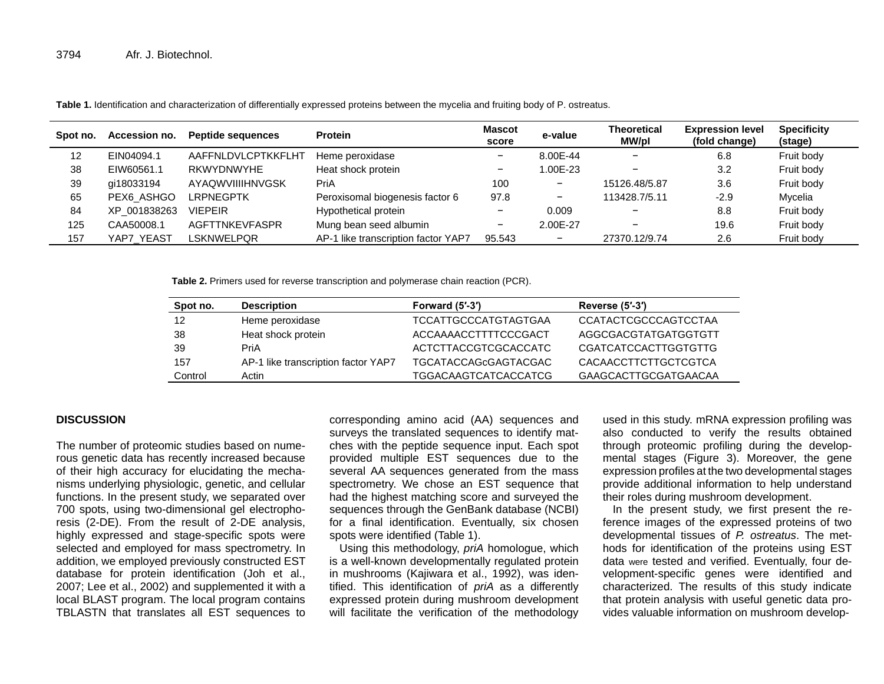| Spot no. | Accession no. | <b>Peptide sequences</b> | <b>Protein</b>                      | Mascot<br>score          | e-value  | <b>Theoretical</b><br>MW/pl | <b>Expression level</b><br>(fold change) | <b>Specificity</b><br>(stage) |
|----------|---------------|--------------------------|-------------------------------------|--------------------------|----------|-----------------------------|------------------------------------------|-------------------------------|
| 12       | EIN04094.1    | AAFFNLDVLCPTKKFLHT       | Heme peroxidase                     | $\overline{\phantom{0}}$ | 8.00E-44 |                             | 6.8                                      | Fruit body                    |
| 38       | EIW60561.1    | RKWYDNWYHE               | Heat shock protein                  | $\qquad \qquad$          | 1.00E-23 |                             | 3.2                                      | Fruit body                    |
| 39       | qi18033194    | AYAQWVIIIIHNVGSK         | PriA                                | 100                      | -        | 15126.48/5.87               | 3.6                                      | Fruit body                    |
| 65       | PEX6_ASHGO    | <b>LRPNEGPTK</b>         | Peroxisomal biogenesis factor 6     | 97.8                     | -        | 113428.7/5.11               | $-2.9$                                   | Mycelia                       |
| 84       | XP_001838263  | <b>VIEPEIR</b>           | Hypothetical protein                | $\overline{\phantom{0}}$ | 0.009    |                             | 8.8                                      | Fruit body                    |
| 125      | CAA50008.1    | <b>AGFTTNKEVFASPR</b>    | Mung bean seed albumin              | $\overline{\phantom{m}}$ | 2.00E-27 |                             | 19.6                                     | Fruit body                    |
| 157      | YAP7_YEAST    | <b>LSKNWELPQR</b>        | AP-1 like transcription factor YAP7 | 95.543                   | -        | 27370.12/9.74               | 2.6                                      | Fruit body                    |

**Table 1.** Identification and characterization of differentially expressed proteins between the mycelia and fruiting body of P. ostreatus.

**Table 2.** Primers used for reverse transcription and polymerase chain reaction (PCR).

| Spot no. | <b>Description</b>                  | Forward (5'-3')             | <b>Reverse (5'-3')</b>      |
|----------|-------------------------------------|-----------------------------|-----------------------------|
| -12      | Heme peroxidase                     | <b>TCCATTGCCCATGTAGTGAA</b> | <b>CCATACTCGCCCAGTCCTAA</b> |
| -38      | Heat shock protein                  | ACCAAAACCTTTTCCCGACT        | AGGCGACGTATGATGGTGTT        |
| -39      | PriA                                | ACTCTTACCGTCGCACCATC        | <b>CGATCATCCACTTGGTGTTG</b> |
| 157      | AP-1 like transcription factor YAP7 | <b>TGCATACCAGcGAGTACGAC</b> | CACAACCTTCTTGCTCGTCA        |
| Control  | Actin                               | <b>TGGACAAGTCATCACCATCG</b> | <b>GAAGCACTTGCGATGAACAA</b> |

## **DISCUSSION**

The number of proteomic studies based on numerous genetic data has recently increased because of their high accuracy for elucidating the mechanisms underlying physiologic, genetic, and cellular functions. In the present study, we separated over 700 spots, using two-dimensional gel electrophoresis (2-DE). From the result of 2-DE analysis, highly expressed and stage-specific spots were selected and employed for mass spectrometry. In addition, we employed previously constructed EST database for protein identification (Joh et al., 2007; Lee et al., 2002) and supplemented it with a local BLAST program. The local program contains TBLASTN that translates all EST sequences to

corresponding amino acid (AA) sequences and surveys the translated sequences to identify matches with the peptide sequence input. Each spot provided multiple EST sequences due to the several AA sequences generated from the mass spectrometry. We chose an EST sequence that had the highest matching score and surveyed the sequences through the GenBank database (NCBI) for a final identification. Eventually, six chosen spots were identified (Table 1).

Using this methodology, *priA* homologue, which is a well-known developmentally regulated protein in mushrooms (Kajiwara et al., 1992), was identified. This identification of *priA* as a differently expressed protein during mushroom development will facilitate the verification of the methodology

used in this study. mRNA expression profiling was also conducted to verify the results obtained through proteomic profiling during the developmental stages (Figure 3). Moreover, the gene expression profiles at the two developmental stages provide additional information to help understand their roles during mushroom development.

In the present study, we first present the reference images of the expressed proteins of two developmental tissues of *P. ostreatus*. The methods for identification of the proteins using EST data were tested and verified. Eventually, four development-specific genes were identified and characterized. The results of this study indicate that protein analysis with useful genetic data provides valuable information on mushroom develop-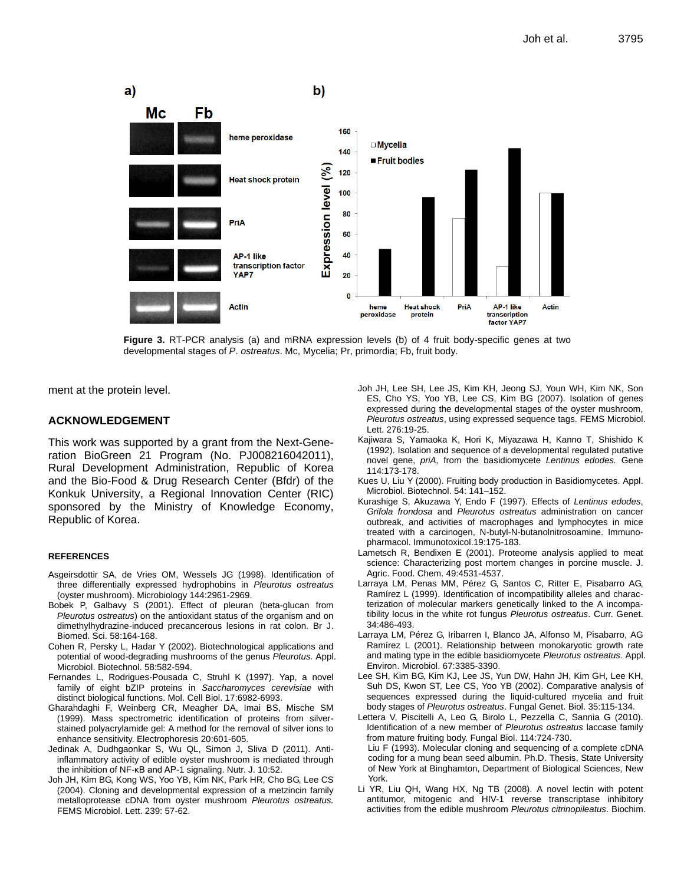

**Figure 3.** RT-PCR analysis (a) and mRNA expression levels (b) of 4 fruit body-specific genes at two developmental stages of *P*. *ostreatus*. Mc, Mycelia; Pr, primordia; Fb, fruit body.

ment at the protein level.

#### **ACKNOWLEDGEMENT**

This work was supported by a grant from the Next-Generation BioGreen 21 Program (No. PJ008216042011), Rural Development Administration, Republic of Korea and the Bio-Food & Drug Research Center (Bfdr) of the Konkuk University, a Regional Innovation Center (RIC) sponsored by the Ministry of Knowledge Economy, Republic of Korea.

#### **REFERENCES**

- Asgeirsdottir SA, de Vries OM, Wessels JG (1998). Identification of three differentially expressed hydrophobins in *Pleurotus ostreatus* (oyster mushroom). Microbiology 144:2961-2969.
- Bobek P, Galbavy S (2001). Effect of pleuran (beta-glucan from *Pleurotus ostreatus*) on the antioxidant status of the organism and on dimethylhydrazine-induced precancerous lesions in rat colon. Br J. Biomed. Sci. 58:164-168.
- Cohen R, Persky L, Hadar Y (2002). Biotechnological applications and potential of wood-degrading mushrooms of the genus *Pleurotus.* Appl. Microbiol. Biotechnol. 58:582-594.
- Fernandes L, Rodrigues-Pousada C, Struhl K (1997). Yap, a novel family of eight bZIP proteins in *Saccharomyces cerevisiae* with distinct biological functions. Mol. Cell Biol. 17:6982-6993.
- Gharahdaghi F, Weinberg CR, Meagher DA, Imai BS, Mische SM (1999). Mass spectrometric identification of proteins from silverstained polyacrylamide gel: A method for the removal of silver ions to enhance sensitivity. Electrophoresis 20:601-605.
- Jedinak A, Dudhgaonkar S, Wu QL, Simon J, Sliva D (2011). Antiinflammatory activity of edible oyster mushroom is mediated through the inhibition of NF-κB and AP-1 signaling. Nutr. J. 10:52.
- Joh JH, Kim BG, Kong WS, Yoo YB, Kim NK, Park HR, Cho BG, Lee CS (2004). Cloning and developmental expression of a metzincin family metalloprotease cDNA from oyster mushroom *Pleurotus ostreatus.*  FEMS Microbiol. Lett. 239: 57-62.
- Joh JH, Lee SH, Lee JS, Kim KH, Jeong SJ, Youn WH, Kim NK, Son ES, Cho YS, Yoo YB, Lee CS, Kim BG (2007). Isolation of genes expressed during the developmental stages of the oyster mushroom, *Pleurotus ostreatus*, using expressed sequence tags. FEMS Microbiol. Lett. 276:19-25.
- Kajiwara S, Yamaoka K, Hori K, Miyazawa H, Kanno T, Shishido K (1992). Isolation and sequence of a developmental regulated putative novel gene, *priA,* from the basidiomycete *Lentinus edodes.* Gene 114:173-178.
- Kues U, Liu Y (2000). Fruiting body production in Basidiomycetes. Appl. Microbiol. Biotechnol. 54: 141–152.
- Kurashige S, Akuzawa Y, Endo F (1997). Effects of *Lentinus edodes*, *Grifola frondosa* and *Pleurotus ostreatus* administration on cancer outbreak, and activities of macrophages and lymphocytes in mice treated with a carcinogen, N-butyl-N-butanolnitrosoamine. Immunopharmacol. Immunotoxicol.19:175-183.
- Lametsch R, Bendixen E (2001). Proteome analysis applied to meat science: Characterizing post mortem changes in porcine muscle. J. Agric. Food. Chem. 49:4531-4537.
- Larraya LM, Penas MM, Pérez G, Santos C, Ritter E, Pisabarro AG, Ramírez L (1999). Identification of incompatibility alleles and characterization of molecular markers genetically linked to the A incompatibility locus in the white rot fungus *Pleurotus ostreatus*. Curr. Genet. 34:486-493.
- Larraya LM, Pérez G, Iribarren I, Blanco JA, Alfonso M, Pisabarro, AG Ramírez L (2001). Relationship between monokaryotic growth rate and mating type in the edible basidiomycete *Pleurotus ostreatus.* Appl. Environ. Microbiol. 67:3385-3390.
- Lee SH, Kim BG, Kim KJ, Lee JS, Yun DW, Hahn JH, Kim GH, Lee KH, Suh DS, Kwon ST, Lee CS, Yoo YB (2002). Comparative analysis of sequences expressed during the liquid-cultured mycelia and fruit body stages of *Pleurotus ostreatus*. Fungal Genet. Biol. 35:115-134.
- Lettera V, Piscitelli A, Leo G, Birolo L, Pezzella C, Sannia G (2010). Identification of a new member of *Pleurotus ostreatus* laccase family from mature fruiting body. Fungal Biol. 114:724-730. Liu F (1993). Molecular cloning and sequencing of a complete cDNA coding for a mung bean seed albumin. Ph.D. Thesis, State University of New York at Binghamton, Department of Biological Sciences, New York.
- Li YR, Liu QH, Wang HX, Ng TB (2008). A novel lectin with potent antitumor, mitogenic and HIV-1 reverse transcriptase inhibitory activities from the edible mushroom *Pleurotus citrinopileatus*. Biochim.